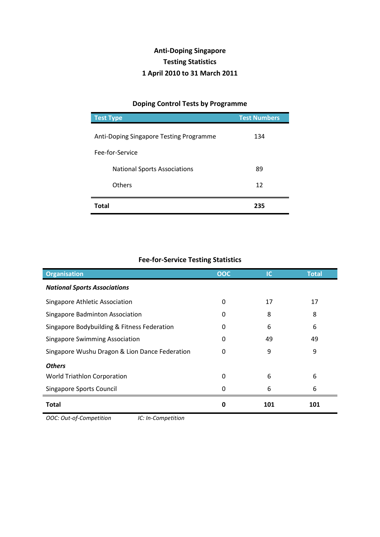## **Anti-Doping Singapore Testing Statistics 1 April 2010 to 31 March 2011**

## **Doping Control Tests by Programme**

| <b>Test Type</b>                        | <b>Test Numbers</b> |
|-----------------------------------------|---------------------|
| Anti-Doping Singapore Testing Programme | 134                 |
| Fee-for-Service                         |                     |
| <b>National Sports Associations</b>     | 89                  |
| <b>Others</b>                           | 12                  |
| <b>Total</b>                            | 235                 |

## **Fee-for-Service Testing Statistics**

| <b>Organisation</b>                            | OOC      | IC  | <b>Total</b> |
|------------------------------------------------|----------|-----|--------------|
| <b>National Sports Associations</b>            |          |     |              |
| Singapore Athletic Association                 | $\Omega$ | 17  | 17           |
| Singapore Badminton Association                | 0        | 8   | 8            |
| Singapore Bodybuilding & Fitness Federation    | 0        | 6   | 6            |
| <b>Singapore Swimming Association</b>          | 0        | 49  | 49           |
| Singapore Wushu Dragon & Lion Dance Federation | 0        | 9   | 9            |
| <b>Others</b>                                  |          |     |              |
| World Triathlon Corporation                    | 0        | 6   | 6            |
| Singapore Sports Council                       | 0        | 6   | 6            |
| <b>Total</b>                                   | 0        | 101 | 101          |

*OOC: Out-of-Competition IC: In-Competition*